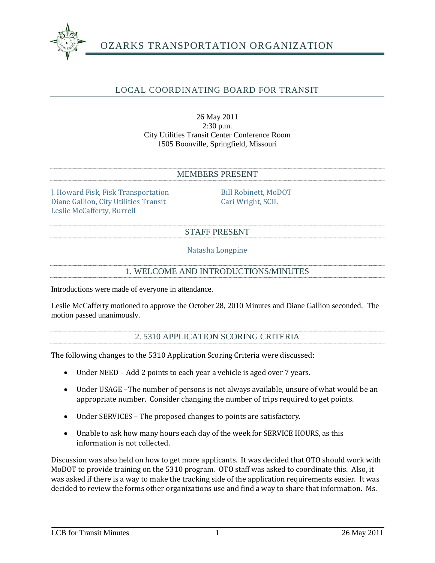

# OZARKS TRANSPORTATION ORGANIZATION

# LOCAL COORDINATING BOARD FOR TRANSIT

## 26 May 2011 2:30 p.m. City Utilities Transit Center Conference Room 1505 Boonville, Springfield, Missouri

#### MEMBERS PRESENT

J. Howard Fisk, Fisk Transportation Bill Robinett, MoDOT<br>Diane Gallion, City Utilities Transit Cari Wright, SCIL Diane Gallion, City Utilities Transit Leslie McCafferty, Burrell

#### STAFF PRESENT

Natasha Longpine

### 1. WELCOME AND INTRODUCTIONS/MINUTES

Introductions were made of everyone in attendance.

Leslie McCafferty motioned to approve the October 28, 2010 Minutes and Diane Gallion seconded. The motion passed unanimously.

# 2. 5310 APPLICATION SCORING CRITERIA

The following changes to the 5310 Application Scoring Criteria were discussed:

- Under NEED Add 2 points to each year a vehicle is aged over 7 years.
- Under USAGE The number of persons is not always available, unsure of what would be an appropriate number. Consider changing the number of trips required to get points.
- Under SERVICES The proposed changes to points are satisfactory.
- Unable to ask how many hours each day of the week for SERVICE HOURS, as this information is not collected.

Discussion was also held on how to get more applicants. It was decided that OTO should work with MoDOT to provide training on the 5310 program. OTO staff was asked to coordinate this. Also, it was asked if there is a way to make the tracking side of the application requirements easier. It was decided to review the forms other organizations use and find a way to share that information. Ms.